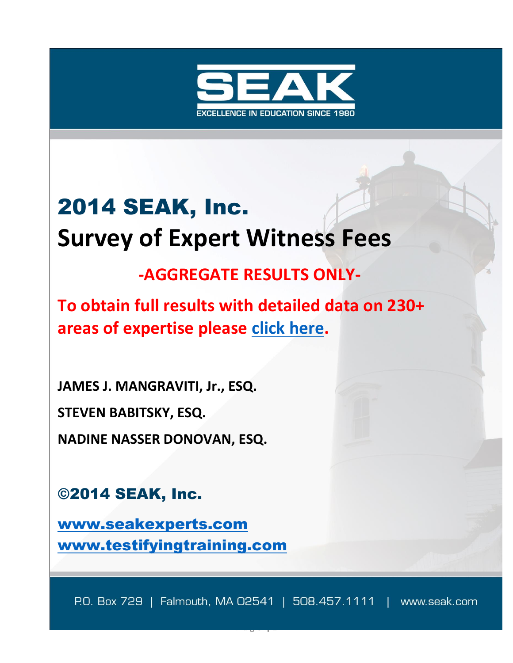

# 2014 SEAK, Inc. **Survey of Expert Witness Fees**

# **-AGGREGATE RESULTS ONLY-**

**To obtain full results with detailed data on 230+ areas of expertise please [click here.](http://store.seak.com/2014-survey-of-expert-witness-fees/)**

**JAMES J. MANGRAVITI, Jr., ESQ.**

**STEVEN BABITSKY, ESQ.**

**NADINE NASSER DONOVAN, ESQ.**

©2014 SEAK, Inc.

[www.seakexperts.com](http://www.seakexperts.com/) [www.testifyingtraining.com](http://www.testifyingtraining.com/)

P.O. Box 729 | Falmouth, MA 02541 | 508.457.1111 | www.seak.com

P a g e | **1**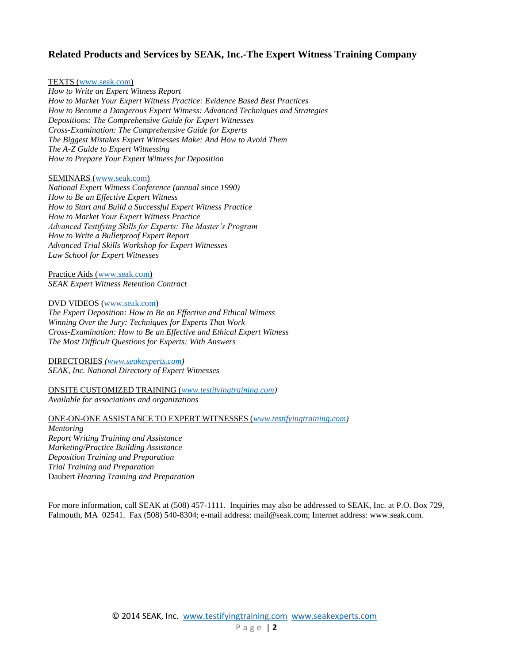#### **Related Products and Services by SEAK, Inc.-The Expert Witness Training Company**

#### TEXTS [\(www.seak.com\)](http://www.seak.com/)

*How to Write an Expert Witness Report How to Market Your Expert Witness Practice: Evidence Based Best Practices How to Become a Dangerous Expert Witness: Advanced Techniques and Strategies Depositions: The Comprehensive Guide for Expert Witnesses Cross-Examination: The Comprehensive Guide for Experts The Biggest Mistakes Expert Witnesses Make: And How to Avoid Them The A-Z Guide to Expert Witnessing How to Prepare Your Expert Witness for Deposition*

#### SEMINARS [\(www.seak.com\)](http://www.seak.com/)

*National Expert Witness Conference (annual since 1990) How to Be an Effective Expert Witness How to Start and Build a Successful Expert Witness Practice How to Market Your Expert Witness Practice Advanced Testifying Skills for Experts: The Master's Program How to Write a Bulletproof Expert Report Advanced Trial Skills Workshop for Expert Witnesses Law School for Expert Witnesses*

Practice Aids [\(www.seak.com\)](http://www.seak.com/) *SEAK Expert Witness Retention Contract*

DVD VIDEOS [\(www.seak.com\)](http://www.seak.com/)

*The Expert Deposition: How to Be an Effective and Ethical Witness Winning Over the Jury: Techniques for Experts That Work Cross-Examination: How to Be an Effective and Ethical Expert Witness The Most Difficult Questions for Experts: With Answers*

#### DIRECTORIES *[\(www.seakexperts.com\)](http://www.seakexperts.com/) SEAK, Inc. National Directory of Expert Witnesses*

ONSITE CUSTOMIZED TRAINING (*[www.testifyingtraining.com\)](http://www.testifyingtraining.com/) Available for associations and organizations* 

#### ONE-ON-ONE ASSISTANCE TO EXPERT WITNESSES (*[www.testifyingtraining.com\)](http://www.testifyingtraining.com/)*

*Mentoring Report Writing Training and Assistance Marketing/Practice Building Assistance Deposition Training and Preparation Trial Training and Preparation* Daubert *Hearing Training and Preparation*

For more information, call SEAK at (508) 457-1111. Inquiries may also be addressed to SEAK, Inc. at P.O. Box 729, Falmouth, MA 02541. Fax (508) 540-8304; e-mail address: mail@seak.com; Internet address: www.seak.com.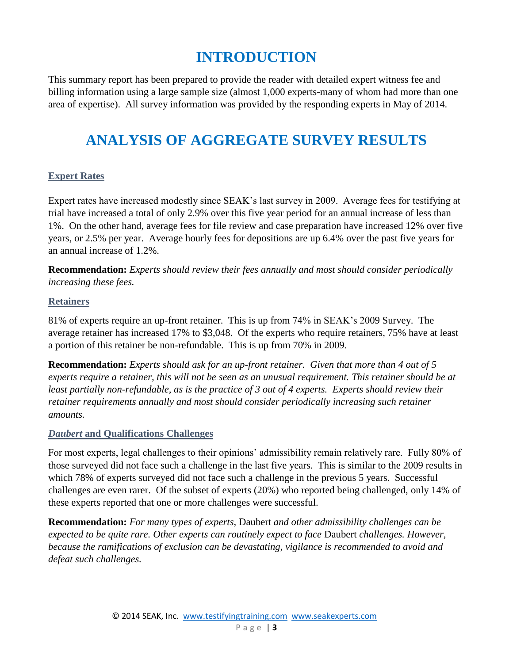## **INTRODUCTION**

This summary report has been prepared to provide the reader with detailed expert witness fee and billing information using a large sample size (almost 1,000 experts-many of whom had more than one area of expertise). All survey information was provided by the responding experts in May of 2014.

### **ANALYSIS OF AGGREGATE SURVEY RESULTS**

#### **Expert Rates**

Expert rates have increased modestly since SEAK's last survey in 2009. Average fees for testifying at trial have increased a total of only 2.9% over this five year period for an annual increase of less than 1%. On the other hand, average fees for file review and case preparation have increased 12% over five years, or 2.5% per year. Average hourly fees for depositions are up 6.4% over the past five years for an annual increase of 1.2%.

**Recommendation:** *Experts should review their fees annually and most should consider periodically increasing these fees.*

#### **Retainers**

81% of experts require an up-front retainer. This is up from 74% in SEAK's 2009 Survey. The average retainer has increased 17% to \$3,048. Of the experts who require retainers, 75% have at least a portion of this retainer be non-refundable. This is up from 70% in 2009.

**Recommendation:** *Experts should ask for an up-front retainer. Given that more than 4 out of 5 experts require a retainer, this will not be seen as an unusual requirement. This retainer should be at least partially non-refundable, as is the practice of 3 out of 4 experts. Experts should review their retainer requirements annually and most should consider periodically increasing such retainer amounts.*

#### *Daubert* **and Qualifications Challenges**

For most experts, legal challenges to their opinions' admissibility remain relatively rare. Fully 80% of those surveyed did not face such a challenge in the last five years. This is similar to the 2009 results in which 78% of experts surveyed did not face such a challenge in the previous 5 years. Successful challenges are even rarer. Of the subset of experts (20%) who reported being challenged, only 14% of these experts reported that one or more challenges were successful.

**Recommendation:** *For many types of experts,* Daubert *and other admissibility challenges can be expected to be quite rare. Other experts can routinely expect to face* Daubert *challenges. However, because the ramifications of exclusion can be devastating, vigilance is recommended to avoid and defeat such challenges.*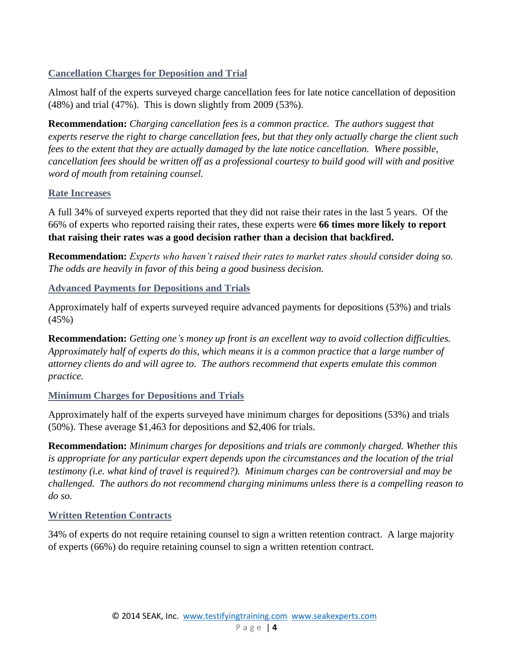#### **Cancellation Charges for Deposition and Trial**

Almost half of the experts surveyed charge cancellation fees for late notice cancellation of deposition (48%) and trial (47%). This is down slightly from 2009 (53%).

**Recommendation:** *Charging cancellation fees is a common practice. The authors suggest that experts reserve the right to charge cancellation fees, but that they only actually charge the client such fees to the extent that they are actually damaged by the late notice cancellation. Where possible, cancellation fees should be written off as a professional courtesy to build good will with and positive word of mouth from retaining counsel.*

#### **Rate Increases**

A full 34% of surveyed experts reported that they did not raise their rates in the last 5 years. Of the 66% of experts who reported raising their rates, these experts were **66 times more likely to report that raising their rates was a good decision rather than a decision that backfired.**

**Recommendation:** *Experts who haven't raised their rates to market rates should consider doing so. The odds are heavily in favor of this being a good business decision.*

**Advanced Payments for Depositions and Trials**

Approximately half of experts surveyed require advanced payments for depositions (53%) and trials (45%)

**Recommendation:** *Getting one's money up front is an excellent way to avoid collection difficulties. Approximately half of experts do this, which means it is a common practice that a large number of attorney clients do and will agree to. The authors recommend that experts emulate this common practice.*

#### **Minimum Charges for Depositions and Trials**

Approximately half of the experts surveyed have minimum charges for depositions (53%) and trials (50%). These average \$1,463 for depositions and \$2,406 for trials.

**Recommendation:** *Minimum charges for depositions and trials are commonly charged. Whether this is appropriate for any particular expert depends upon the circumstances and the location of the trial testimony (i.e. what kind of travel is required?). Minimum charges can be controversial and may be challenged. The authors do not recommend charging minimums unless there is a compelling reason to do so.*

#### **Written Retention Contracts**

34% of experts do not require retaining counsel to sign a written retention contract. A large majority of experts (66%) do require retaining counsel to sign a written retention contract.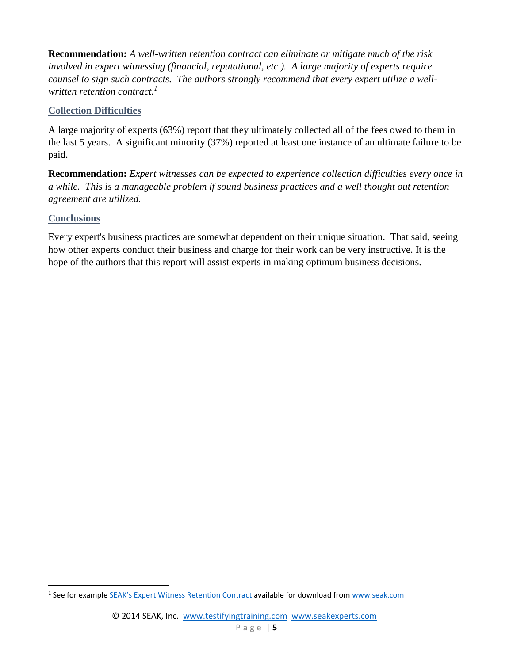**Recommendation:** *A well-written retention contract can eliminate or mitigate much of the risk involved in expert witnessing (financial, reputational, etc.). A large majority of experts require counsel to sign such contracts. The authors strongly recommend that every expert utilize a wellwritten retention contract.<sup>1</sup>*

#### **Collection Difficulties**

A large majority of experts (63%) report that they ultimately collected all of the fees owed to them in the last 5 years. A significant minority (37%) reported at least one instance of an ultimate failure to be paid.

**Recommendation:** *Expert witnesses can be expected to experience collection difficulties every once in a while. This is a manageable problem if sound business practices and a well thought out retention agreement are utilized.*

#### **Conclusions**

 $\overline{a}$ 

Every expert's business practices are somewhat dependent on their unique situation. That said, seeing how other experts conduct their business and charge for their work can be very instructive. It is the hope of the authors that this report will assist experts in making optimum business decisions.

<sup>&</sup>lt;sup>1</sup> See for example [SEAK's Expert Witness Retention Co](http://store.seak.com/expert-witness-retention-contract-download/)ntract available for download from [www.seak.com](http://www.seak.com/)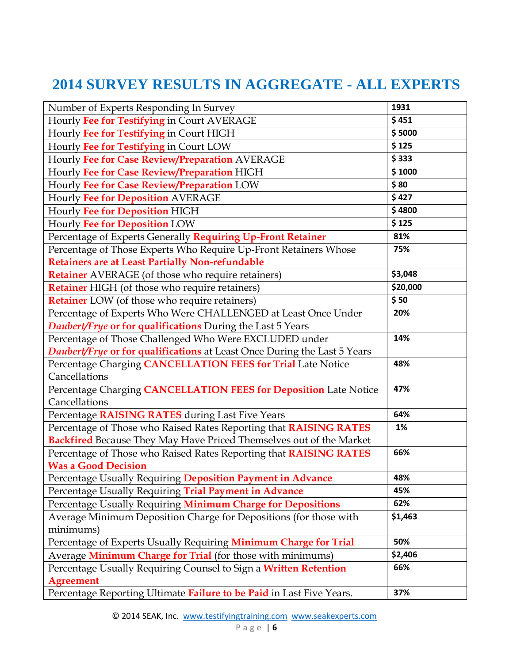# **2014 SURVEY RESULTS IN AGGREGATE - ALL EXPERTS**

| Number of Experts Responding In Survey                                          | 1931     |
|---------------------------------------------------------------------------------|----------|
| Hourly Fee for Testifying in Court AVERAGE                                      | \$451    |
| Hourly Fee for Testifying in Court HIGH                                         | \$5000   |
| Hourly Fee for Testifying in Court LOW                                          | \$125    |
| Hourly Fee for Case Review/Preparation AVERAGE                                  | \$333    |
| Hourly Fee for Case Review/Preparation HIGH                                     | \$1000   |
| Hourly Fee for Case Review/Preparation LOW                                      | \$80     |
| Hourly Fee for Deposition AVERAGE                                               | \$427    |
| Hourly Fee for Deposition HIGH                                                  | \$4800   |
| Hourly Fee for Deposition LOW                                                   | \$125    |
| Percentage of Experts Generally Requiring Up-Front Retainer                     | 81%      |
| Percentage of Those Experts Who Require Up-Front Retainers Whose                | 75%      |
| Retainers are at Least Partially Non-refundable                                 |          |
| <b>Retainer</b> AVERAGE (of those who require retainers)                        | \$3,048  |
| <b>Retainer</b> HIGH (of those who require retainers)                           | \$20,000 |
| <b>Retainer</b> LOW (of those who require retainers)                            | \$50     |
| Percentage of Experts Who Were CHALLENGED at Least Once Under                   | 20%      |
| <b>Daubert/Frye or for qualifications</b> During the Last 5 Years               |          |
| Percentage of Those Challenged Who Were EXCLUDED under                          | 14%      |
| <b>Daubert/Frye or for qualifications</b> at Least Once During the Last 5 Years |          |
| Percentage Charging CANCELLATION FEES for Trial Late Notice                     | 48%      |
| Cancellations                                                                   |          |
| Percentage Charging CANCELLATION FEES for Deposition Late Notice                | 47%      |
| Cancellations                                                                   |          |
| Percentage RAISING RATES during Last Five Years                                 | 64%      |
| Percentage of Those who Raised Rates Reporting that RAISING RATES               | 1%       |
| <b>Backfired</b> Because They May Have Priced Themselves out of the Market      |          |
| Percentage of Those who Raised Rates Reporting that <b>RAISING RATES</b>        | 66%      |
| <b>Was a Good Decision</b>                                                      |          |
| Percentage Usually Requiring Deposition Payment in Advance                      | 48%      |
| Percentage Usually Requiring Trial Payment in Advance                           | 45%      |
| Percentage Usually Requiring Minimum Charge for Depositions                     | 62%      |
| Average Minimum Deposition Charge for Depositions (for those with               | \$1,463  |
| minimums)                                                                       |          |
| Percentage of Experts Usually Requiring Minimum Charge for Trial                | 50%      |
| Average Minimum Charge for Trial (for those with minimums)                      | \$2,406  |
| Percentage Usually Requiring Counsel to Sign a Written Retention                | 66%      |
| <b>Agreement</b>                                                                |          |
| Percentage Reporting Ultimate Failure to be Paid in Last Five Years.            | 37%      |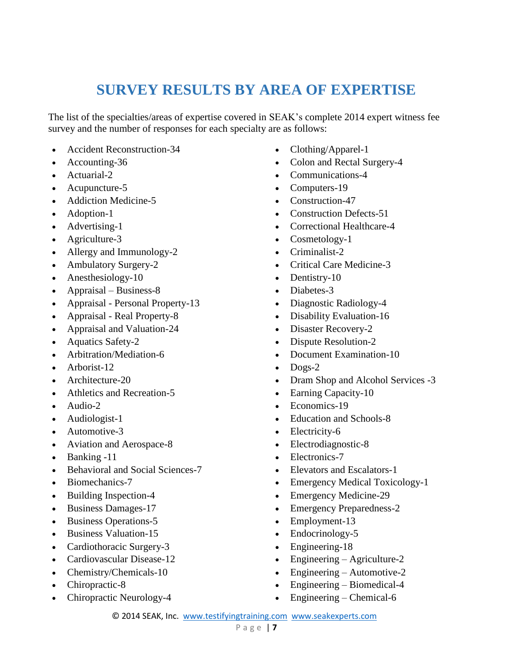### **SURVEY RESULTS BY AREA OF EXPERTISE**

The list of the specialties/areas of expertise covered in SEAK's complete 2014 expert witness fee survey and the number of responses for each specialty are as follows:

- Accident Reconstruction-34
- Accounting-36
- Actuarial-2
- Acupuncture-5
- Addiction Medicine-5
- Adoption-1
- Advertising-1
- Agriculture-3
- Allergy and Immunology-2
- Ambulatory Surgery-2
- Anesthesiology-10
- Appraisal Business-8
- Appraisal Personal Property-13
- Appraisal Real Property-8
- Appraisal and Valuation-24
- Aquatics Safety-2
- Arbitration/Mediation-6
- Arborist-12
- Architecture-20
- Athletics and Recreation-5
- Audio-2
- Audiologist-1
- Automotive-3
- Aviation and Aerospace-8
- Banking -11
- Behavioral and Social Sciences-7
- Biomechanics-7
- Building Inspection-4
- Business Damages-17
- Business Operations-5
- Business Valuation-15
- Cardiothoracic Surgery-3
- Cardiovascular Disease-12
- Chemistry/Chemicals-10
- Chiropractic-8
- Chiropractic Neurology-4
- Clothing/Apparel-1
- Colon and Rectal Surgery-4
- Communications-4
- Computers-19
- Construction-47
- Construction Defects-51
- Correctional Healthcare-4
- Cosmetology-1
- Criminalist-2
- Critical Care Medicine-3
- Dentistry-10
- Diabetes-3
- Diagnostic Radiology-4
- Disability Evaluation-16
- Disaster Recovery-2
- Dispute Resolution-2
- Document Examination-10
- $\bullet$  Dogs-2
- Dram Shop and Alcohol Services -3
- Earning Capacity-10
- Economics-19
- Education and Schools-8
- Electricity-6
- Electrodiagnostic-8
- Electronics-7
- Elevators and Escalators-1
- Emergency Medical Toxicology-1
- Emergency Medicine-29
- Emergency Preparedness-2
- Employment-13
- Endocrinology-5
- Engineering-18
- Engineering Agriculture-2
- Engineering Automotive-2
- Engineering Biomedical-4
- Engineering Chemical-6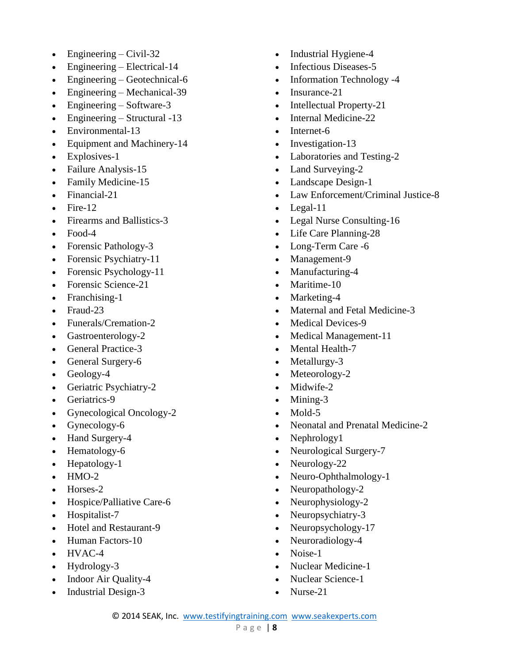- $\bullet$  Engineering Civil-32
- Engineering Electrical-14
- Engineering Geotechnical-6
- Engineering Mechanical-39
- Engineering Software-3
- $\bullet$  Engineering Structural -13
- Environmental-13
- Equipment and Machinery-14
- Explosives-1
- Failure Analysis-15
- Family Medicine-15
- Financial-21
- $\bullet$  Fire-12
- Firearms and Ballistics-3
- $\bullet$  Food-4
- Forensic Pathology-3
- Forensic Psychiatry-11
- Forensic Psychology-11
- Forensic Science-21
- Franchising-1
- Fraud-23
- Funerals/Cremation-2
- Gastroenterology-2
- General Practice-3
- General Surgery-6
- Geology-4
- Geriatric Psychiatry-2
- Geriatrics-9
- Gynecological Oncology-2
- Gynecology-6
- Hand Surgery-4
- Hematology-6
- $\bullet$  Hepatology-1
- $\bullet$  HMO-2
- Horses-2
- Hospice/Palliative Care-6
- Hospitalist-7
- Hotel and Restaurant-9
- Human Factors-10
- HVAC-4
- Hydrology-3
- Indoor Air Quality-4
- Industrial Design-3
- Industrial Hygiene-4
- Infectious Diseases-5
- Information Technology -4
- Insurance-21
- Intellectual Property-21
- Internal Medicine-22
- Internet-6
- Investigation-13
- Laboratories and Testing-2
- Land Surveying-2
- Landscape Design-1
- Law Enforcement/Criminal Justice-8
- $\bullet$  Legal-11
- Legal Nurse Consulting-16
- Life Care Planning-28
- Long-Term Care -6
- Management-9
- Manufacturing-4
- Maritime-10
- Marketing-4
- Maternal and Fetal Medicine-3
- Medical Devices-9
- Medical Management-11
- Mental Health-7
- Metallurgy-3
- Meteorology-2
- Midwife-2
- Mining-3
- $\bullet$  Mold-5
- Neonatal and Prenatal Medicine-2
- Nephrology1
- Neurological Surgery-7
- Neurology-22
- Neuro-Ophthalmology-1
- Neuropathology-2
- Neurophysiology-2
- Neuropsychiatry-3
- Neuropsychology-17
- Neuroradiology-4
- Noise-1
- Nuclear Medicine-1
- Nuclear Science-1
- Nurse-21